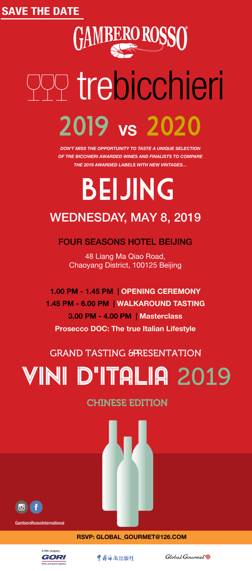### SAVE THE DATE



### RSVP: GLOBAL\_GOURMET@126.COM







GamberoRossoInternational

# BEIJING WEDNESDAY, MAY 8, 2019

### CHINESE EDITION



### FOUR SEASONS HOTEL BEIJING

48 Liang Ma Qiao Road, Chaoyang District, 100125 Beijing

1.00 PM - 1.45 PM | OPENING CEREMONY

# trebicchieri 2019 VS 2020

1.45 PM - 6.00 PM | WALKAROUND TASTING 3.00 PM - 4.00 PM | Masterclass Prosecco DOC: The true Italian Lifestyle

### GRAND TASTING &PRESENTATION

# VINI D'ITALIA 2019

DON'T MISS THE OPPORTUNITY TO TASTE A UNIQUE SELECTION OF TRE BICCHIERI AWARDED WINES AND FINALISTS TO COMPARE THE 2019 AWARDED LABELS WITH NEW VINTAGES…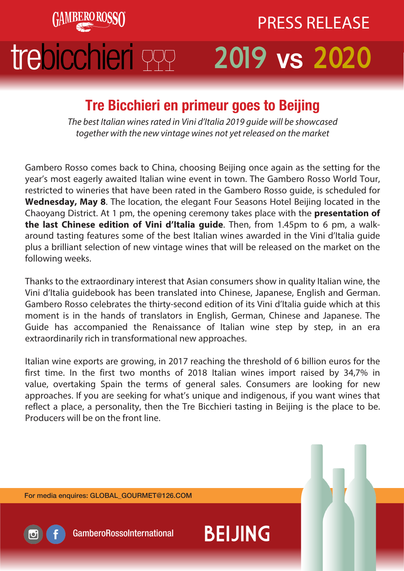

## trebicchieri 999 vs 2020 PRESS RELEASE

### Tre Bicchieri en primeur goes to Beijing

The best Italian wines rated in Vini d'Italia 2019 guide will be showcased together with the new vintage wines not yet released on the market

Gambero Rosso comes back to China, choosing Beijing once again as the setting for the year's most eagerly awaited Italian wine event in town. The Gambero Rosso World Tour, restricted to wineries that have been rated in the Gambero Rosso guide, is scheduled for **Wednesday, May 8**. The location, the elegant Four Seasons Hotel Beijing located in the Chaoyang District. At 1 pm, the opening ceremony takes place with the **presentation of the last Chinese edition of Vini d'Italia guide**. Then, from 1.45pm to 6 pm, a walkaround tasting features some of the best Italian wines awarded in the Vini d'Italia guide plus a brilliant selection of new vintage wines that will be released on the market on the following weeks.

Thanks to the extraordinary interest that Asian consumers show in quality Italian wine, the Vini d'Italia guidebook has been translated into Chinese, Japanese, English and German. Gambero Rosso celebrates the thirty-second edition of its Vini d'Italia guide which at this moment is in the hands of translators in English, German, Chinese and Japanese. The Guide has accompanied the Renaissance of Italian wine step by step, in an era extraordinarily rich in transformational new approaches.

Italian wine exports are growing, in 2017 reaching the threshold of 6 billion euros for the first time. In the first two months of 2018 Italian wines import raised by 34,7% in value, overtaking Spain the terms of general sales. Consumers are looking for new approaches. If you are seeking for what's unique and indigenous, if you want wines that reflect a place, a personality, then the Tre Bicchieri tasting in Beijing is the place to be. Producers will be on the front line.

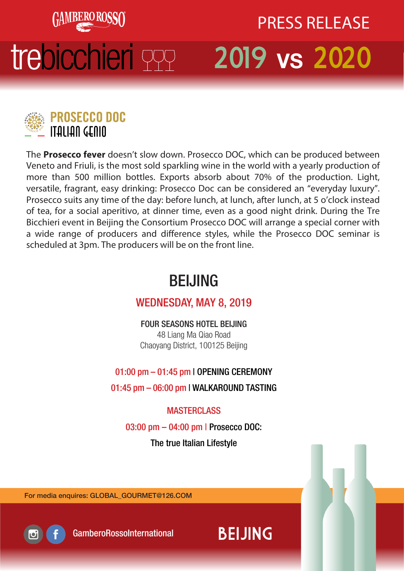

## trebicchieri PPP 2019 vs 2020

# PRESS RELEASE



The **Prosecco fever** doesn't slow down. Prosecco DOC, which can be produced between Veneto and Friuli, is the most sold sparkling wine in the world with a yearly production of more than 500 million bottles. Exports absorb about 70% of the production. Light, versatile, fragrant, easy drinking: Prosecco Doc can be considered an "everyday luxury". Prosecco suits any time of the day: before lunch, at lunch, after lunch, at 5 o'clock instead of tea, for a social aperitivo, at dinner time, even as a good night drink. During the Tre Bicchieri event in Beijing the Consortium Prosecco DOC will arrange a special corner with a wide range of producers and difference styles, while the Prosecco DOC seminar is scheduled at 3pm. The producers will be on the front line.

### BEIJING

### WEDNESDAY, MAY 8, 2019

FOUR SEASONS HOTEL BEIJING 48 Liang Ma Qiao Road Chaoyang District, 100125 Beijing

### 01:00 pm – 01:45 pm | OPENING CEREMONY

01:45 pm – 06:00 pm | WALKAROUND TASTING

### **MASTERCLASS**

03:00 pm – 04:00 pm | Prosecco DOC:

The true Italian Lifestyle

For media enquires: GLOBAL\_GOURMET@126.COM



GamberoRossoInternational BEIJING